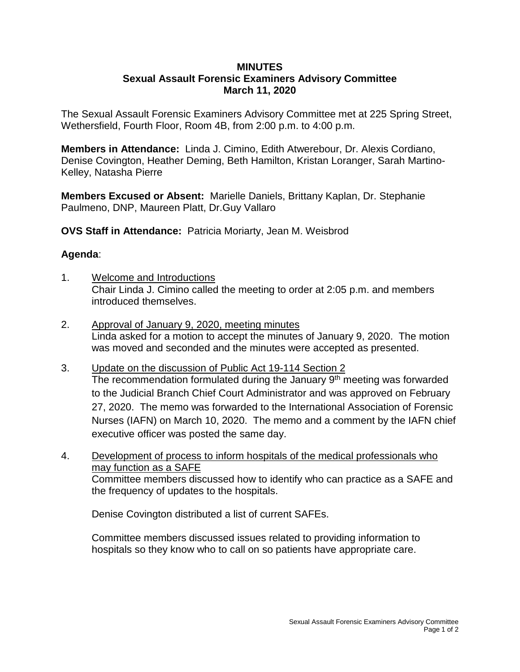## **MINUTES Sexual Assault Forensic Examiners Advisory Committee March 11, 2020**

The Sexual Assault Forensic Examiners Advisory Committee met at 225 Spring Street, Wethersfield, Fourth Floor, Room 4B, from 2:00 p.m. to 4:00 p.m.

**Members in Attendance:** Linda J. Cimino, Edith Atwerebour, Dr. Alexis Cordiano, Denise Covington, Heather Deming, Beth Hamilton, Kristan Loranger, Sarah Martino-Kelley, Natasha Pierre

**Members Excused or Absent:** Marielle Daniels, Brittany Kaplan, Dr. Stephanie Paulmeno, DNP, Maureen Platt, Dr.Guy Vallaro

**OVS Staff in Attendance:** Patricia Moriarty, Jean M. Weisbrod

## **Agenda**:

- 1. Welcome and Introductions Chair Linda J. Cimino called the meeting to order at 2:05 p.m. and members introduced themselves.
- 2. Approval of January 9, 2020, meeting minutes Linda asked for a motion to accept the minutes of January 9, 2020. The motion was moved and seconded and the minutes were accepted as presented.
- 3. Update on the discussion of Public Act 19-114 Section 2 The recommendation formulated during the January  $9<sup>th</sup>$  meeting was forwarded to the Judicial Branch Chief Court Administrator and was approved on February 27, 2020. The memo was forwarded to the International Association of Forensic Nurses (IAFN) on March 10, 2020. The memo and a comment by the IAFN chief executive officer was posted the same day.
- 4. Development of process to inform hospitals of the medical professionals who may function as a SAFE Committee members discussed how to identify who can practice as a SAFE and the frequency of updates to the hospitals.

Denise Covington distributed a list of current SAFEs.

Committee members discussed issues related to providing information to hospitals so they know who to call on so patients have appropriate care.